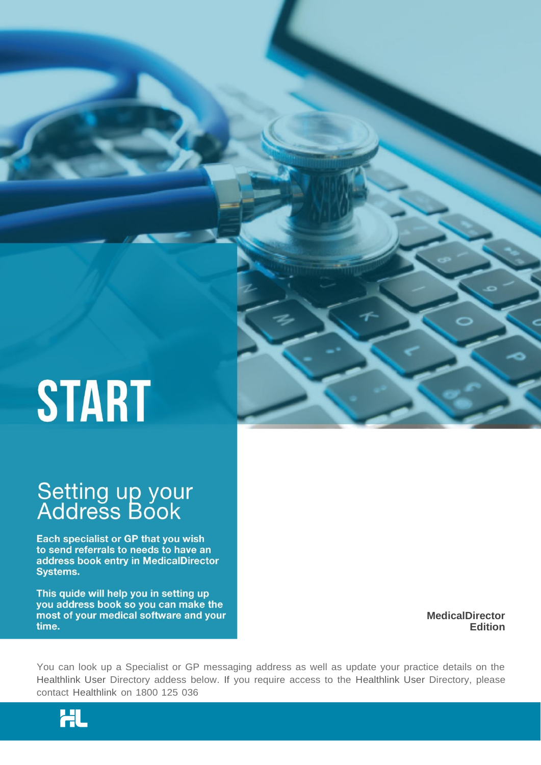# **START**

## Setting up your<br>Address Book

Each specialist or GP that you wish to send referrals to needs to have an address book entry in MedicalDirector Systems.

This quide will help you in setting up you address book so you can make the most of your medical software and your time.

**MedicalDirector Edition**

You can look up a Specialist or GP messaging address as well as update your practice details on the Healthlink User Directory addess below. If you require access to the Healthlink User Directory, please contact Healthlink on 1800 125 036

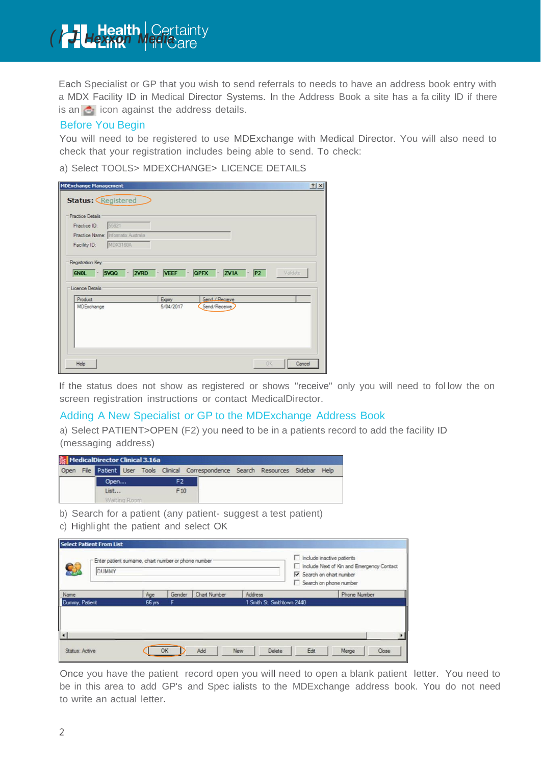Each Specialist or GP that you wish to send referrals to needs to have an address book entry with a MDX Facility ID in Medical Director Systems. In the Address Book a site has a fa cility ID if there is an  $\bullet$  icon against the address details.

#### Before You Begin

You will need to be registered to use MDExchange with Medical Director. You will also need to check that your registration includes being able to send. To check:

a) Select TOOLS> MDEXCHANGE> LICENCE DETAILS

| <b>MDExchange Management</b> |                                     |           |                                              |           | ? X      |
|------------------------------|-------------------------------------|-----------|----------------------------------------------|-----------|----------|
| <b>Status: Registered</b>    |                                     |           |                                              |           |          |
|                              |                                     |           |                                              |           |          |
| <b>Practice Details</b>      |                                     |           |                                              |           |          |
| Practice ID:                 | 55921                               |           |                                              |           |          |
|                              | Practice Name: Informatix Australia |           |                                              |           |          |
| Facility ID:                 | <b>MDX3160A</b>                     |           |                                              |           |          |
|                              |                                     |           |                                              |           |          |
|                              |                                     |           |                                              |           |          |
| Registration Key             |                                     |           |                                              |           |          |
|                              |                                     |           | 6NOL - 5VQQ - 2VRD - VEEF - QPFX - ZV1A - P2 |           | Validate |
|                              |                                     |           |                                              |           |          |
| Licence Details              |                                     |           |                                              |           |          |
| Product                      |                                     | Expiry    | Send / Recieve                               |           |          |
| MDExchange                   |                                     | 5/04/2017 | Send/Receive                                 |           |          |
|                              |                                     |           |                                              |           |          |
|                              |                                     |           |                                              |           |          |
|                              |                                     |           |                                              |           |          |
|                              |                                     |           |                                              |           |          |
|                              |                                     |           |                                              |           |          |
| Help                         |                                     |           |                                              | <b>OK</b> | Cancel   |

If the status does not show as registered or shows "receive" only you will need to fol low the on screen registration instructions or contact MedicalDirector.

#### Adding A New Specialist or GP to the MDExchange Address Book

a) Select PATIENT>OPEN (F2) you need to be in a patients record to add the facility ID (messaging address)

|      | MedicalDirector Clinical 3.16a |              |     |                                                                               |  |  |
|------|--------------------------------|--------------|-----|-------------------------------------------------------------------------------|--|--|
| Open |                                |              |     | File Patient User Tools Clinical Correspondence Search Resources Sidebar Help |  |  |
|      | Open                           |              | F2  |                                                                               |  |  |
|      | List…                          |              | F10 |                                                                               |  |  |
|      |                                | Waiting Room |     |                                                                               |  |  |

b) Search for a patient (any patient- suggest a test patient)

c) Highlight the patient and select OK

|                        | Enter patient sumame, chart number or phone number<br><b>DUMMY</b> |               |             |                     |                                              | nclude inactive patients<br>Include Next of Kin and Emergency Contact<br>$\triangledown$ Search on chart number<br>Search on phone number |              |  |
|------------------------|--------------------------------------------------------------------|---------------|-------------|---------------------|----------------------------------------------|-------------------------------------------------------------------------------------------------------------------------------------------|--------------|--|
| Name<br>Dummy, Patient |                                                                    | Age<br>66 угз | Gender<br>F | <b>Chart Number</b> | <b>Address</b><br>1 Smith St. Smithtown 2440 |                                                                                                                                           | Phone Number |  |
|                        |                                                                    |               |             |                     |                                              |                                                                                                                                           |              |  |
| $\blacksquare$         |                                                                    |               |             |                     |                                              |                                                                                                                                           |              |  |

Once you have the patient record open you will need to open a blank patient letter. You need to be in this area to add GP's and Spec ialists to the MDExchange address book. You do not need to write an actual letter.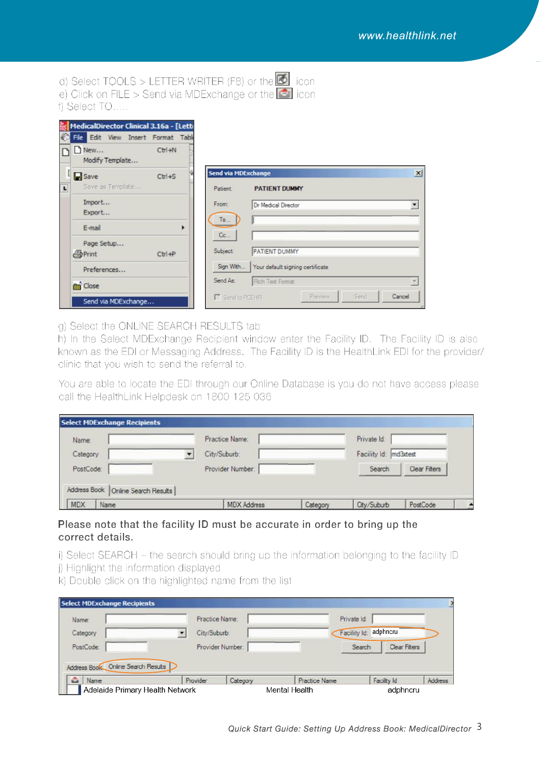d) Select TOOLS > LETTER WRITER (F8) or the  $\bullet$  icon e) Click on FILE > Send via MDExchange or the  $\vert \cdot \vert$  icon t) Select TO.....



g) Select the ONLINE SEARCH RESULTS tab

h) In the Select MDExchange Recipient window enter the Facility ID. The Facility ID is also known as the EDI or Messaging Address. The Facility ID is the HealthLink EDI for the provider/ clinic that you wish to send the referral to.

You are able to locate the EDI through our Online Database is you do not have access please. call the HealthLink Helpdesk on 1800 125 036

| Name:     | Practice Name:   | Private Id:          |               |
|-----------|------------------|----------------------|---------------|
| Category  | City/Suburb:     | Facility Id: md3dest |               |
| PostCode: | Provider Number: | Search               | Clear Filters |

### Please note that the facility ID must be accurate in order to bring up the correct details.

i) Select SEARCH - the search should bring up the information belonging to the facility ID i) Highlight the information displayed

k) Double click on the highlighted name from the list

| Name:                              | Practice Name: |                  | Private Id.              |  |
|------------------------------------|----------------|------------------|--------------------------|--|
| Category                           | City/Suburb:   |                  | adphncru<br>Facility Id: |  |
| PostCode:                          |                | Provider Number: | Clear Filters<br>Search  |  |
|                                    |                |                  |                          |  |
| Address Book Online Search Results |                |                  |                          |  |